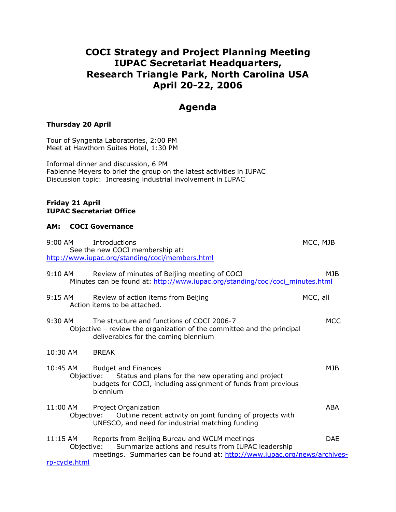# **COCI Strategy and Project Planning Meeting IUPAC Secretariat Headquarters, Research Triangle Park, North Carolina USA April 20-22, 2006**

# **Agenda**

## **Thursday 20 April**

Tour of Syngenta Laboratories, 2:00 PM Meet at Hawthorn Suites Hotel, 1:30 PM

Informal dinner and discussion, 6 PM Fabienne Meyers to brief the group on the latest activities in IUPAC Discussion topic: Increasing industrial involvement in IUPAC

#### **Friday 21 April IUPAC Secretariat Office**

#### **AM: COCI Governance**

| $9:00$ AM                                 | Introductions<br>See the new COCI membership at:<br>http://www.iupac.org/standing/coci/members.html                                                                              | MCC, MJB   |
|-------------------------------------------|----------------------------------------------------------------------------------------------------------------------------------------------------------------------------------|------------|
| $9:10 \, \text{AM}$                       | Review of minutes of Beijing meeting of COCI<br>Minutes can be found at: http://www.iupac.org/standing/coci/coci_minutes.html                                                    | MJB.       |
| $9:15$ AM                                 | Review of action items from Beijing<br>Action items to be attached.                                                                                                              | MCC, all   |
| 9:30 AM                                   | The structure and functions of COCI 2006-7<br>Objective – review the organization of the committee and the principal<br>deliverables for the coming biennium                     | <b>MCC</b> |
| 10:30 AM                                  | <b>BREAK</b>                                                                                                                                                                     |            |
| 10:45 AM                                  | <b>Budget and Finances</b><br>Status and plans for the new operating and project<br>Objective:<br>budgets for COCI, including assignment of funds from previous<br>biennium      | MJB        |
| $11:00$ AM                                | Project Organization<br>Objective: Outline recent activity on joint funding of projects with<br>UNESCO, and need for industrial matching funding                                 | ABA        |
| $11:15$ AM<br>Objective:<br>rp-cycle.html | Reports from Beijing Bureau and WCLM meetings<br>Summarize actions and results from IUPAC leadership<br>meetings. Summaries can be found at: http://www.iupac.org/news/archives- | <b>DAE</b> |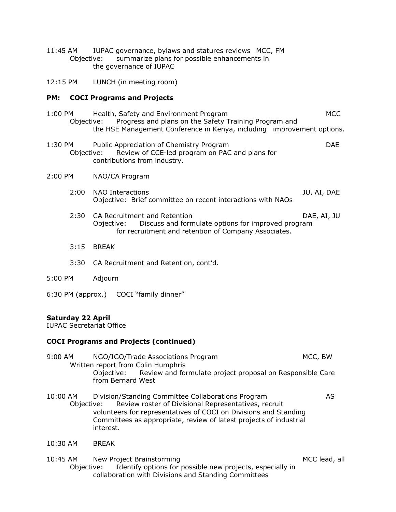- 11:45 AM IUPAC governance, bylaws and statures reviews MCC, FM Objective: summarize plans for possible enhancements in the governance of IUPAC
- 12:15 PM LUNCH (in meeting room)

#### **PM: COCI Programs and Projects**

- 1:00 PM Health, Safety and Environment Program MCC Objective: Progress and plans on the Safety Training Program and the HSE Management Conference in Kenya, including improvement options.
- 1:30 PM Public Appreciation of Chemistry Program DAE Objective: Review of CCE-led program on PAC and plans for contributions from industry.
- 2:00 PM NAO/CA Program
	- 2:00 NAO Interactions JU, AI, DAE Objective: Brief committee on recent interactions with NAOs
	- 2:30 CA Recruitment and Retention DAE, AI, JU Objective: Discuss and formulate options for improved program for recruitment and retention of Company Associates.
	- 3:15 BREAK
	- 3:30 CA Recruitment and Retention, cont'd.
- 5:00 PM Adjourn
- 6:30 PM (approx.) COCI "family dinner"

### **Saturday 22 April**

IUPAC Secretariat Office

### **COCI Programs and Projects (continued)**

- 9:00 AM NGO/IGO/Trade Associations Program MCC, BW Written report from Colin Humphris Objective: Review and formulate project proposal on Responsible Care from Bernard West
- 10:00 AM Division/Standing Committee Collaborations Program AS Objective: Review roster of Divisional Representatives, recruit volunteers for representatives of COCI on Divisions and Standing Committees as appropriate, review of latest projects of industrial interest.
- 10:30 AM BREAK
- 10:45 AM New Project Brainstorming MCC lead, all and MCC lead, all Objective: Identify options for possible new projects, especially in collaboration with Divisions and Standing Committees